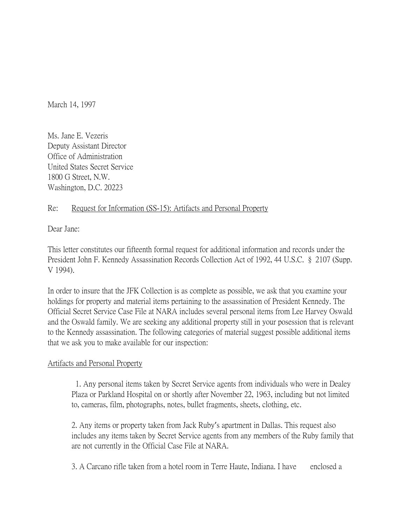March 14, 1997

Ms. Jane E. Vezeris Deputy Assistant Director Office of Administration United States Secret Service 1800 G Street, N.W. Washington, D.C. 20223

## Re: Request for Information (SS-15): Artifacts and Personal Property

Dear Jane:

This letter constitutes our fifteenth formal request for additional information and records under the President John F. Kennedy Assassination Records Collection Act of 1992, 44 U.S.C. § 2107 (Supp. V 1994).

In order to insure that the JFK Collection is as complete as possible, we ask that you examine your holdings for property and material items pertaining to the assassination of President Kennedy. The Official Secret Service Case File at NARA includes several personal items from Lee Harvey Oswald and the Oswald family. We are seeking any additional property still in your posession that is relevant to the Kennedy assassination. The following categories of material suggest possible additional items that we ask you to make available for our inspection:

## Artifacts and Personal Property

1. Any personal items taken by Secret Service agents from individuals who were in Dealey Plaza or Parkland Hospital on or shortly after November 22, 1963, including but not limited to, cameras, film, photographs, notes, bullet fragments, sheets, clothing, etc.

2. Any items or property taken from Jack Ruby's apartment in Dallas. This request also includes any items taken by Secret Service agents from any members of the Ruby family that are not currently in the Official Case File at NARA.

3. A Carcano rifle taken from a hotel room in Terre Haute, Indiana. I have enclosed a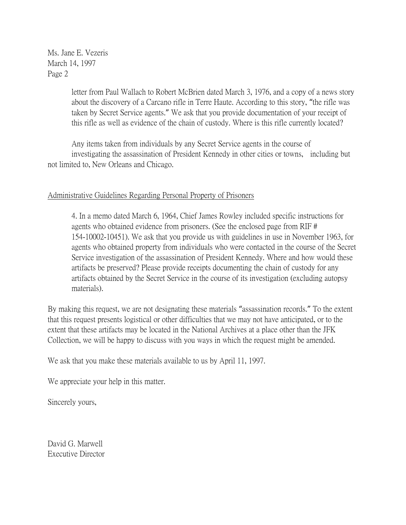Ms. Jane E. Vezeris March 14, 1997 Page 2

> letter from Paul Wallach to Robert McBrien dated March 3, 1976, and a copy of a news story about the discovery of a Carcano rifle in Terre Haute. According to this story, "the rifle was taken by Secret Service agents." We ask that you provide documentation of your receipt of this rifle as well as evidence of the chain of custody. Where is this rifle currently located?

Any items taken from individuals by any Secret Service agents in the course of investigating the assassination of President Kennedy in other cities or towns, including but not limited to, New Orleans and Chicago.

## Administrative Guidelines Regarding Personal Property of Prisoners

4. In a memo dated March 6, 1964, Chief James Rowley included specific instructions for agents who obtained evidence from prisoners. (See the enclosed page from RIF # 154-10002-10451). We ask that you provide us with guidelines in use in November 1963, for agents who obtained property from individuals who were contacted in the course of the Secret Service investigation of the assassination of President Kennedy. Where and how would these artifacts be preserved? Please provide receipts documenting the chain of custody for any artifacts obtained by the Secret Service in the course of its investigation (excluding autopsy materials).

By making this request, we are not designating these materials "assassination records." To the extent that this request presents logistical or other difficulties that we may not have anticipated, or to the extent that these artifacts may be located in the National Archives at a place other than the JFK Collection, we will be happy to discuss with you ways in which the request might be amended.

We ask that you make these materials available to us by April 11, 1997.

We appreciate your help in this matter.

Sincerely yours,

David G. Marwell Executive Director